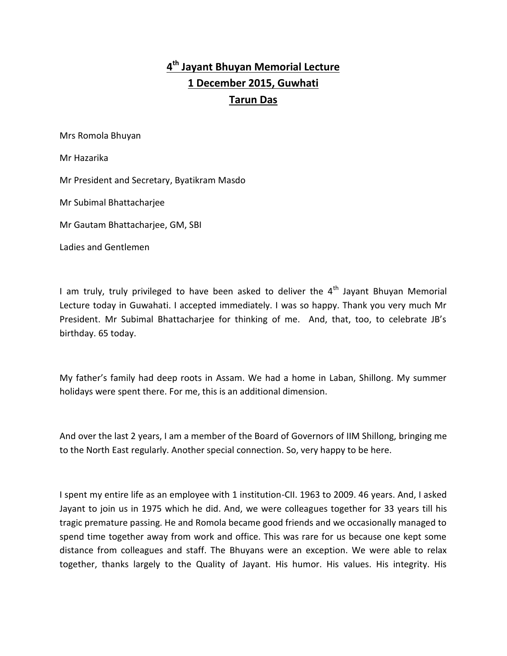## **4 th Jayant Bhuyan Memorial Lecture 1 December 2015, Guwhati Tarun Das**

Mrs Romola Bhuyan

Mr Hazarika

Mr President and Secretary, Byatikram Masdo

Mr Subimal Bhattacharjee

Mr Gautam Bhattacharjee, GM, SBI

Ladies and Gentlemen

I am truly, truly privileged to have been asked to deliver the  $4<sup>th</sup>$  Jayant Bhuyan Memorial Lecture today in Guwahati. I accepted immediately. I was so happy. Thank you very much Mr President. Mr Subimal Bhattacharjee for thinking of me. And, that, too, to celebrate JB's birthday. 65 today.

My father's family had deep roots in Assam. We had a home in Laban, Shillong. My summer holidays were spent there. For me, this is an additional dimension.

And over the last 2 years, I am a member of the Board of Governors of IIM Shillong, bringing me to the North East regularly. Another special connection. So, very happy to be here.

I spent my entire life as an employee with 1 institution-CII. 1963 to 2009. 46 years. And, I asked Jayant to join us in 1975 which he did. And, we were colleagues together for 33 years till his tragic premature passing. He and Romola became good friends and we occasionally managed to spend time together away from work and office. This was rare for us because one kept some distance from colleagues and staff. The Bhuyans were an exception. We were able to relax together, thanks largely to the Quality of Jayant. His humor. His values. His integrity. His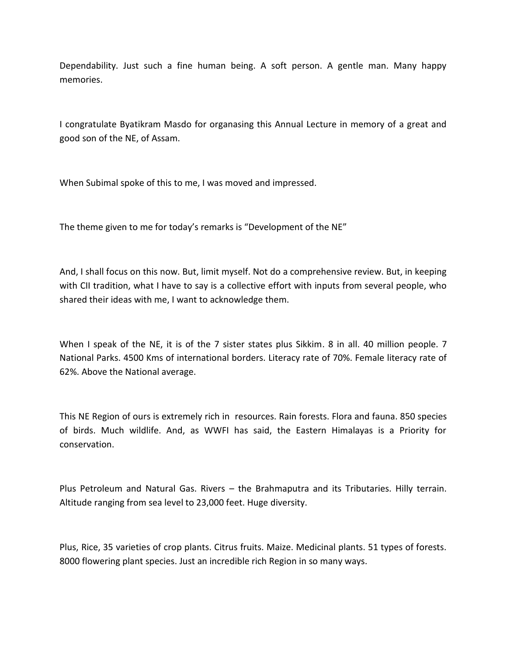Dependability. Just such a fine human being. A soft person. A gentle man. Many happy memories.

I congratulate Byatikram Masdo for organasing this Annual Lecture in memory of a great and good son of the NE, of Assam.

When Subimal spoke of this to me, I was moved and impressed.

The theme given to me for today's remarks is "Development of the NE"

And, I shall focus on this now. But, limit myself. Not do a comprehensive review. But, in keeping with CII tradition, what I have to say is a collective effort with inputs from several people, who shared their ideas with me, I want to acknowledge them.

When I speak of the NE, it is of the 7 sister states plus Sikkim. 8 in all. 40 million people. 7 National Parks. 4500 Kms of international borders. Literacy rate of 70%. Female literacy rate of 62%. Above the National average.

This NE Region of ours is extremely rich in resources. Rain forests. Flora and fauna. 850 species of birds. Much wildlife. And, as WWFI has said, the Eastern Himalayas is a Priority for conservation.

Plus Petroleum and Natural Gas. Rivers – the Brahmaputra and its Tributaries. Hilly terrain. Altitude ranging from sea level to 23,000 feet. Huge diversity.

Plus, Rice, 35 varieties of crop plants. Citrus fruits. Maize. Medicinal plants. 51 types of forests. 8000 flowering plant species. Just an incredible rich Region in so many ways.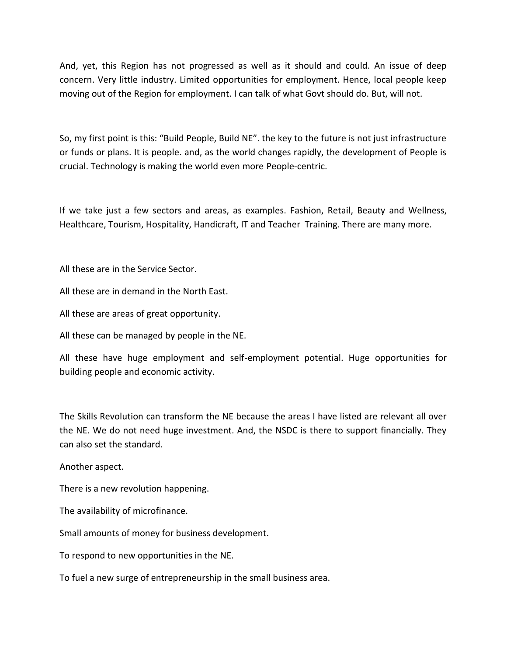And, yet, this Region has not progressed as well as it should and could. An issue of deep concern. Very little industry. Limited opportunities for employment. Hence, local people keep moving out of the Region for employment. I can talk of what Govt should do. But, will not.

So, my first point is this: "Build People, Build NE". the key to the future is not just infrastructure or funds or plans. It is people. and, as the world changes rapidly, the development of People is crucial. Technology is making the world even more People-centric.

If we take just a few sectors and areas, as examples. Fashion, Retail, Beauty and Wellness, Healthcare, Tourism, Hospitality, Handicraft, IT and Teacher Training. There are many more.

All these are in the Service Sector.

All these are in demand in the North East.

All these are areas of great opportunity.

All these can be managed by people in the NE.

All these have huge employment and self-employment potential. Huge opportunities for building people and economic activity.

The Skills Revolution can transform the NE because the areas I have listed are relevant all over the NE. We do not need huge investment. And, the NSDC is there to support financially. They can also set the standard.

Another aspect.

There is a new revolution happening.

The availability of microfinance.

Small amounts of money for business development.

To respond to new opportunities in the NE.

To fuel a new surge of entrepreneurship in the small business area.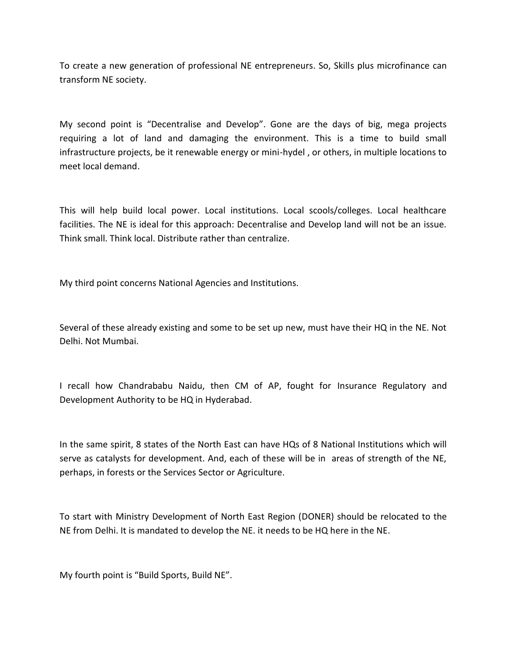To create a new generation of professional NE entrepreneurs. So, Skills plus microfinance can transform NE society.

My second point is "Decentralise and Develop". Gone are the days of big, mega projects requiring a lot of land and damaging the environment. This is a time to build small infrastructure projects, be it renewable energy or mini-hydel , or others, in multiple locations to meet local demand.

This will help build local power. Local institutions. Local scools/colleges. Local healthcare facilities. The NE is ideal for this approach: Decentralise and Develop land will not be an issue. Think small. Think local. Distribute rather than centralize.

My third point concerns National Agencies and Institutions.

Several of these already existing and some to be set up new, must have their HQ in the NE. Not Delhi. Not Mumbai.

I recall how Chandrababu Naidu, then CM of AP, fought for Insurance Regulatory and Development Authority to be HQ in Hyderabad.

In the same spirit, 8 states of the North East can have HQs of 8 National Institutions which will serve as catalysts for development. And, each of these will be in areas of strength of the NE, perhaps, in forests or the Services Sector or Agriculture.

To start with Ministry Development of North East Region (DONER) should be relocated to the NE from Delhi. It is mandated to develop the NE. it needs to be HQ here in the NE.

My fourth point is "Build Sports, Build NE".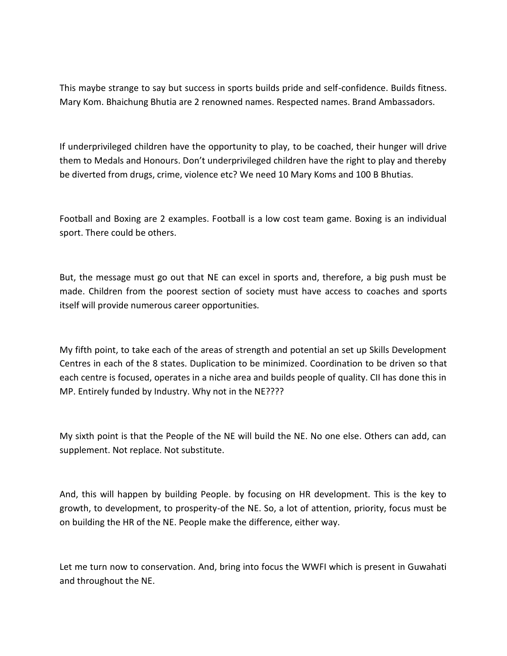This maybe strange to say but success in sports builds pride and self-confidence. Builds fitness. Mary Kom. Bhaichung Bhutia are 2 renowned names. Respected names. Brand Ambassadors.

If underprivileged children have the opportunity to play, to be coached, their hunger will drive them to Medals and Honours. Don't underprivileged children have the right to play and thereby be diverted from drugs, crime, violence etc? We need 10 Mary Koms and 100 B Bhutias.

Football and Boxing are 2 examples. Football is a low cost team game. Boxing is an individual sport. There could be others.

But, the message must go out that NE can excel in sports and, therefore, a big push must be made. Children from the poorest section of society must have access to coaches and sports itself will provide numerous career opportunities.

My fifth point, to take each of the areas of strength and potential an set up Skills Development Centres in each of the 8 states. Duplication to be minimized. Coordination to be driven so that each centre is focused, operates in a niche area and builds people of quality. CII has done this in MP. Entirely funded by Industry. Why not in the NE????

My sixth point is that the People of the NE will build the NE. No one else. Others can add, can supplement. Not replace. Not substitute.

And, this will happen by building People. by focusing on HR development. This is the key to growth, to development, to prosperity-of the NE. So, a lot of attention, priority, focus must be on building the HR of the NE. People make the difference, either way.

Let me turn now to conservation. And, bring into focus the WWFI which is present in Guwahati and throughout the NE.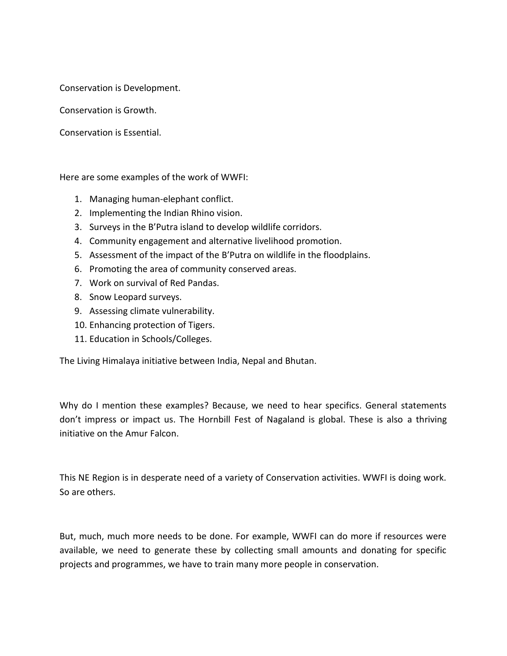Conservation is Development.

Conservation is Growth.

Conservation is Essential.

Here are some examples of the work of WWFI:

- 1. Managing human-elephant conflict.
- 2. Implementing the Indian Rhino vision.
- 3. Surveys in the B'Putra island to develop wildlife corridors.
- 4. Community engagement and alternative livelihood promotion.
- 5. Assessment of the impact of the B'Putra on wildlife in the floodplains.
- 6. Promoting the area of community conserved areas.
- 7. Work on survival of Red Pandas.
- 8. Snow Leopard surveys.
- 9. Assessing climate vulnerability.
- 10. Enhancing protection of Tigers.
- 11. Education in Schools/Colleges.

The Living Himalaya initiative between India, Nepal and Bhutan.

Why do I mention these examples? Because, we need to hear specifics. General statements don't impress or impact us. The Hornbill Fest of Nagaland is global. These is also a thriving initiative on the Amur Falcon.

This NE Region is in desperate need of a variety of Conservation activities. WWFI is doing work. So are others.

But, much, much more needs to be done. For example, WWFI can do more if resources were available, we need to generate these by collecting small amounts and donating for specific projects and programmes, we have to train many more people in conservation.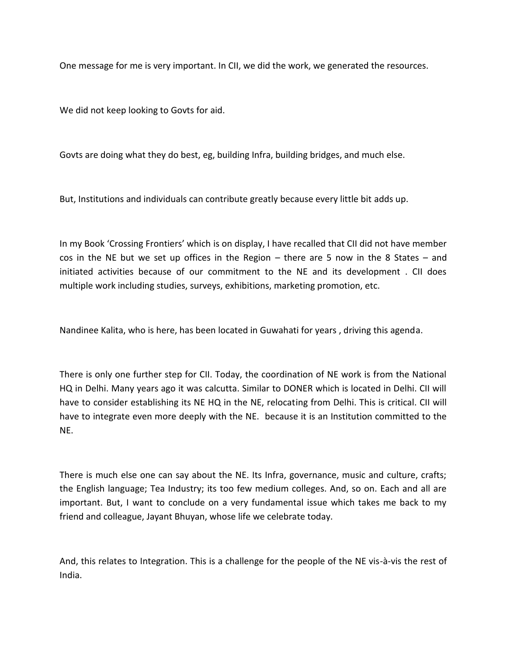One message for me is very important. In CII, we did the work, we generated the resources.

We did not keep looking to Govts for aid.

Govts are doing what they do best, eg, building Infra, building bridges, and much else.

But, Institutions and individuals can contribute greatly because every little bit adds up.

In my Book 'Crossing Frontiers' which is on display, I have recalled that CII did not have member cos in the NE but we set up offices in the Region – there are 5 now in the 8 States – and initiated activities because of our commitment to the NE and its development . CII does multiple work including studies, surveys, exhibitions, marketing promotion, etc.

Nandinee Kalita, who is here, has been located in Guwahati for years , driving this agenda.

There is only one further step for CII. Today, the coordination of NE work is from the National HQ in Delhi. Many years ago it was calcutta. Similar to DONER which is located in Delhi. CII will have to consider establishing its NE HQ in the NE, relocating from Delhi. This is critical. CII will have to integrate even more deeply with the NE. because it is an Institution committed to the NE.

There is much else one can say about the NE. Its Infra, governance, music and culture, crafts; the English language; Tea Industry; its too few medium colleges. And, so on. Each and all are important. But, I want to conclude on a very fundamental issue which takes me back to my friend and colleague, Jayant Bhuyan, whose life we celebrate today.

And, this relates to Integration. This is a challenge for the people of the NE vis-à-vis the rest of India.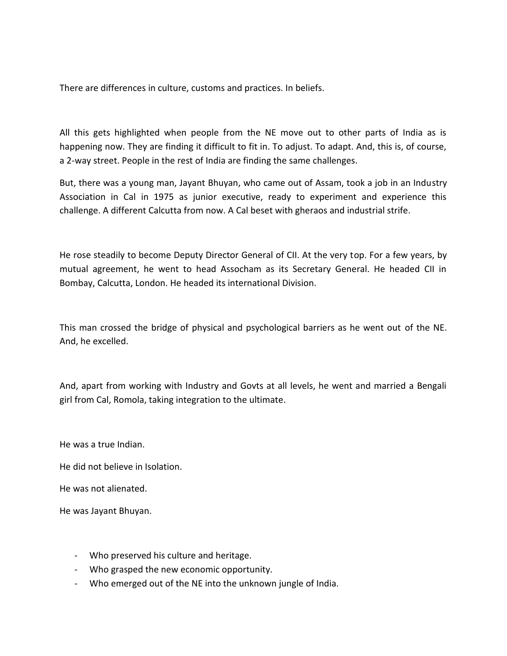There are differences in culture, customs and practices. In beliefs.

All this gets highlighted when people from the NE move out to other parts of India as is happening now. They are finding it difficult to fit in. To adjust. To adapt. And, this is, of course, a 2-way street. People in the rest of India are finding the same challenges.

But, there was a young man, Jayant Bhuyan, who came out of Assam, took a job in an Industry Association in Cal in 1975 as junior executive, ready to experiment and experience this challenge. A different Calcutta from now. A Cal beset with gheraos and industrial strife.

He rose steadily to become Deputy Director General of CII. At the very top. For a few years, by mutual agreement, he went to head Assocham as its Secretary General. He headed CII in Bombay, Calcutta, London. He headed its international Division.

This man crossed the bridge of physical and psychological barriers as he went out of the NE. And, he excelled.

And, apart from working with Industry and Govts at all levels, he went and married a Bengali girl from Cal, Romola, taking integration to the ultimate.

He was a true Indian.

He did not believe in Isolation.

He was not alienated.

He was Jayant Bhuyan.

- Who preserved his culture and heritage.
- Who grasped the new economic opportunity.
- Who emerged out of the NE into the unknown jungle of India.